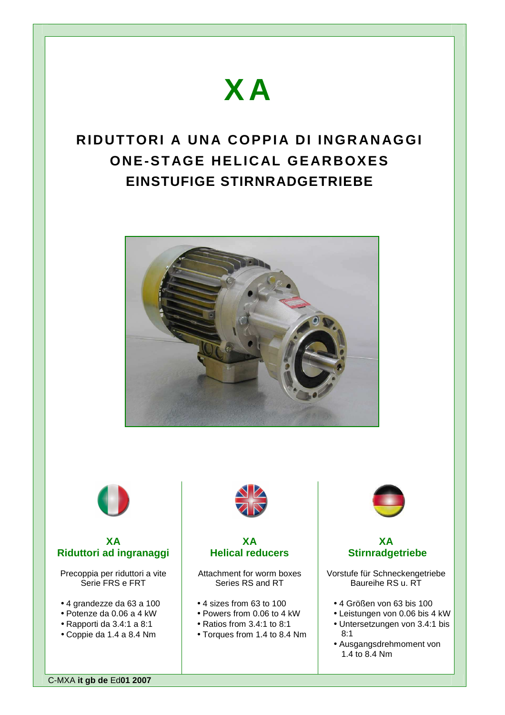# **X A**

# **RIDUTTORI A UNA COPPIA DI INGRANAGGI ONE-STAGE HELICAL GEARBOXES EINSTUFIGE STIRNRADGETRIEBE**





# **XA Riduttori ad ingranaggi**

Precoppia per riduttori a vite Serie FRS e FRT

- 4 grandezze da 63 a 100
- Potenze da 0.06 a 4 kW
- Rapporti da 3.4:1 a 8:1
- Coppie da 1.4 a 8.4 Nm



# **XA Helical reducers**

Attachment for worm boxes Series RS and RT

- 4 sizes from 63 to 100
- Powers from 0.06 to 4 kW
- Ratios from 3.4:1 to 8:1
- Torques from 1.4 to 8.4 Nm



# **XA Stirnradgetriebe**

Vorstufe für Schneckengetriebe Baureihe RS u. RT

- 4 Größen von 63 bis 100
- Leistungen von 0.06 bis 4 kW
- Untersetzungen von 3.4:1 bis 8:1
- Ausgangsdrehmoment von 1.4 to 8.4 Nm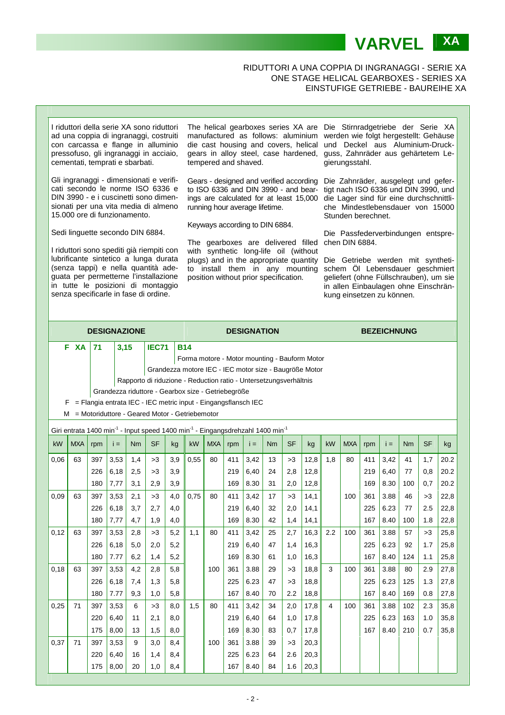## RIDUTTORI A UNA COPPIA DI INGRANAGGI - SERIE XA ONE STAGE HELICAL GEARBOXES - SERIES XA EINSTUFIGE GETRIEBE - BAUREIHE XA

**VARVEL XA** 



|                                                                                                                    |                                                                     | <b>DESIGNAZIONE</b>                                    |       |     |              |            | <b>DESIGNATION</b> |            |     |       |    |           |      | <b>BEZEICHNUNG</b>      |            |     |       |     |           |      |
|--------------------------------------------------------------------------------------------------------------------|---------------------------------------------------------------------|--------------------------------------------------------|-------|-----|--------------|------------|--------------------|------------|-----|-------|----|-----------|------|-------------------------|------------|-----|-------|-----|-----------|------|
|                                                                                                                    | F XA                                                                | 71                                                     | 3,15  |     | <b>IEC71</b> | <b>B14</b> |                    |            |     |       |    |           |      |                         |            |     |       |     |           |      |
|                                                                                                                    |                                                                     | Forma motore - Motor mounting - Bauform Motor          |       |     |              |            |                    |            |     |       |    |           |      |                         |            |     |       |     |           |      |
|                                                                                                                    |                                                                     | Grandezza motore IEC - IEC motor size - Baugröße Motor |       |     |              |            |                    |            |     |       |    |           |      |                         |            |     |       |     |           |      |
|                                                                                                                    | Rapporto di riduzione - Reduction ratio - Untersetzungsverhältnis   |                                                        |       |     |              |            |                    |            |     |       |    |           |      |                         |            |     |       |     |           |      |
| Grandezza riduttore - Gearbox size - Getriebegröße                                                                 |                                                                     |                                                        |       |     |              |            |                    |            |     |       |    |           |      |                         |            |     |       |     |           |      |
|                                                                                                                    | = Flangia entrata IEC - IEC metric input - Eingangsflansch IEC<br>F |                                                        |       |     |              |            |                    |            |     |       |    |           |      |                         |            |     |       |     |           |      |
| = Motoriduttore - Geared Motor - Getriebemotor<br>м                                                                |                                                                     |                                                        |       |     |              |            |                    |            |     |       |    |           |      |                         |            |     |       |     |           |      |
| Giri entrata 1400 min <sup>-1</sup> - Input speed 1400 min <sup>-1</sup> - Eingangsdrehzahl 1400 min <sup>-1</sup> |                                                                     |                                                        |       |     |              |            |                    |            |     |       |    |           |      |                         |            |     |       |     |           |      |
| kW                                                                                                                 | <b>MXA</b>                                                          | rpm                                                    | $i =$ | Nm  | <b>SF</b>    | kg         | kW                 | <b>MXA</b> | rpm | $i =$ | Nm | <b>SF</b> | kg   | kW                      | <b>MXA</b> | rpm | $i =$ | Nm  | <b>SF</b> | kg   |
| 0,06                                                                                                               | 63                                                                  | 397                                                    | 3,53  | 1,4 | >3           | 3,9        | 0.55               | 80         | 411 | 3,42  | 13 | >3        | 12,8 | 1.8                     | 80         | 411 | 3,42  | 41  | 1.7       | 20.2 |
|                                                                                                                    |                                                                     | 226                                                    | 6,18  | 2,5 | >3           | 3,9        |                    |            | 219 | 6,40  | 24 | 2,8       | 12,8 |                         |            | 219 | 6,40  | 77  | 0,8       | 20.2 |
|                                                                                                                    |                                                                     | 180                                                    | 7,77  | 3,1 | 2,9          | 3,9        |                    |            | 169 | 8.30  | 31 | 2,0       | 12,8 |                         |            | 169 | 8.30  | 100 | 0.7       | 20.2 |
| 0,09                                                                                                               | 63                                                                  | 397                                                    | 3,53  | 2,1 | >3           | 4,0        | 0.75               | 80         | 411 | 3,42  | 17 | >3        | 14,1 |                         | 100        | 361 | 3.88  | 46  | >3        | 22,8 |
|                                                                                                                    |                                                                     | 226                                                    | 6,18  | 3,7 | 2,7          | 4,0        |                    |            | 219 | 6,40  | 32 | 2,0       | 14,1 |                         |            | 225 | 6.23  | 77  | 2.5       | 22,8 |
|                                                                                                                    |                                                                     | 180                                                    | 7,77  | 4,7 | 1,9          | 4,0        |                    |            | 169 | 8.30  | 42 | 1,4       | 14,1 |                         |            | 167 | 8.40  | 100 | 1.8       | 22,8 |
| 0,12                                                                                                               | 63                                                                  | 397                                                    | 3,53  | 2,8 | >3           | 5,2        | 1,1                | 80         | 411 | 3,42  | 25 | 2,7       | 16,3 | 2.2                     | 100        | 361 | 3.88  | 57  | >3        | 25,8 |
|                                                                                                                    |                                                                     | 226                                                    | 6,18  | 5,0 | 2,0          | 5,2        |                    |            | 219 | 6,40  | 47 | 1,4       | 16,3 |                         |            | 225 | 6.23  | 92  | 1.7       | 25,8 |
|                                                                                                                    |                                                                     | 180                                                    | 7.77  | 6,2 | 1,4          | 5,2        |                    |            | 169 | 8.30  | 61 | 1,0       | 16,3 |                         |            | 167 | 8.40  | 124 | 1.1       | 25,8 |
| 0,18                                                                                                               | 63                                                                  | 397                                                    | 3,53  | 4,2 | 2,8          | 5,8        |                    | 100        | 361 | 3.88  | 29 | >3        | 18,8 | 3                       | 100        | 361 | 3.88  | 80  | 2.9       | 27,8 |
|                                                                                                                    |                                                                     | 226                                                    | 6,18  | 7,4 | 1,3          | 5,8        |                    |            | 225 | 6.23  | 47 | >3        | 18,8 |                         |            | 225 | 6.23  | 125 | 1.3       | 27,8 |
|                                                                                                                    |                                                                     | 180                                                    | 7.77  | 9,3 | 1,0          | 5,8        |                    |            | 167 | 8.40  | 70 | 2.2       | 18,8 |                         |            | 167 | 8.40  | 169 | 0.8       | 27,8 |
| 0,25                                                                                                               | 71                                                                  | 397                                                    | 3,53  | 6   | >3           | 8,0        | 1,5                | 80         | 411 | 3,42  | 34 | 2,0       | 17,8 | $\overline{\mathbf{4}}$ | 100        | 361 | 3.88  | 102 | 2.3       | 35,8 |
|                                                                                                                    |                                                                     | 220                                                    | 6,40  | 11  | 2,1          | 8,0        |                    |            | 219 | 6,40  | 64 | 1,0       | 17,8 |                         |            | 225 | 6.23  | 163 | 1.0       | 35,8 |
|                                                                                                                    |                                                                     | 175                                                    | 8,00  | 13  | 1,5          | 8,0        |                    |            | 169 | 8.30  | 83 | 0,7       | 17,8 |                         |            | 167 | 8.40  | 210 | 0.7       | 35,8 |
| 0,37                                                                                                               | 71                                                                  | 397                                                    | 3,53  | 9   | 3,0          | 8,4        |                    | 100        | 361 | 3.88  | 39 | >3        | 20,3 |                         |            |     |       |     |           |      |
|                                                                                                                    |                                                                     | 220                                                    | 6,40  | 16  | 1,4          | 8,4        |                    |            | 225 | 6.23  | 64 | 2.6       | 20,3 |                         |            |     |       |     |           |      |
|                                                                                                                    |                                                                     | 175                                                    | 8,00  | 20  | 1,0          | 8,4        |                    |            | 167 | 8.40  | 84 | 1.6       | 20,3 |                         |            |     |       |     |           |      |
|                                                                                                                    |                                                                     |                                                        |       |     |              |            |                    |            |     |       |    |           |      |                         |            |     |       |     |           |      |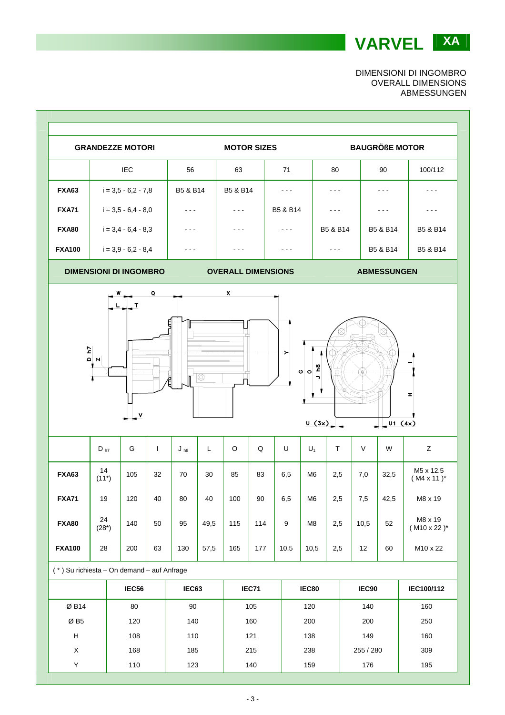**VARVEL XA** 

DIMENSIONI DI INGOMBRO OVERALL DIMENSIONS ABMESSUNGEN